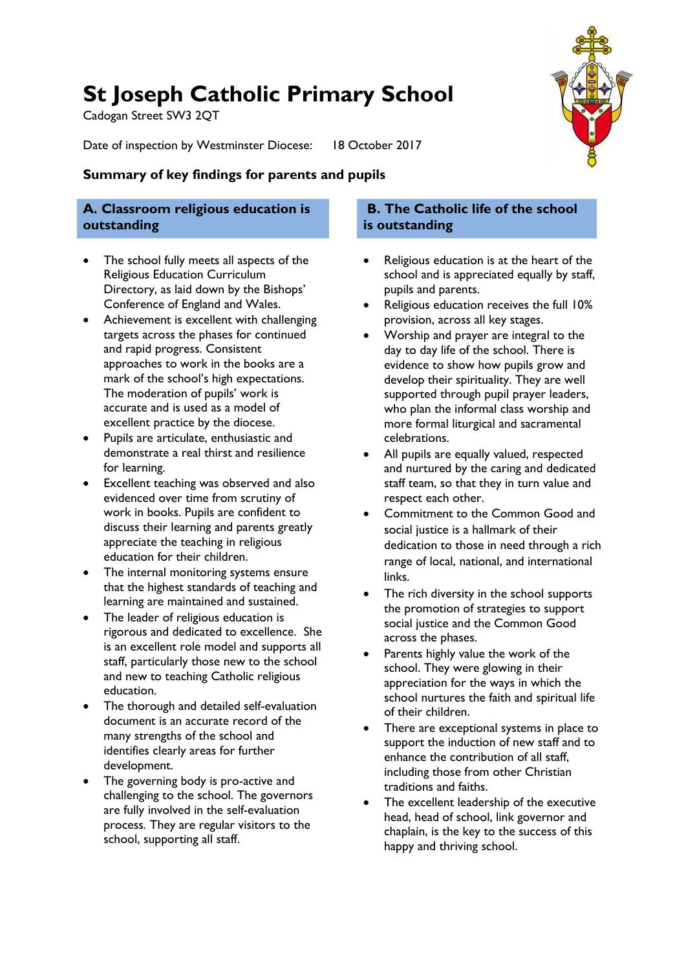# **St Joseph Catholic Primary School**

Cadogan Street SW3 2QT

Date of inspection by Westminster Diocese: 18 October 2017



### **Summary of key findings for parents and pupils**

### **A. Classroom religious education is outstanding**

- The school fully meets all aspects of the Religious Education Curriculum Directory, as laid down by the Bishops' Conference of England and Wales.
- Achievement is excellent with challenging targets across the phases for continued and rapid progress. Consistent approaches to work in the books are a mark of the school's high expectations. The moderation of pupils' work is accurate and is used as a model of excellent practice by the diocese.
- Pupils are articulate, enthusiastic and demonstrate a real thirst and resilience for learning.
- Excellent teaching was observed and also evidenced over time from scrutiny of work in books. Pupils are confident to discuss their learning and parents greatly appreciate the teaching in religious education for their children.
- The internal monitoring systems ensure that the highest standards of teaching and learning are maintained and sustained.
- The leader of religious education is rigorous and dedicated to excellence. She is an excellent role model and supports all staff, particularly those new to the school and new to teaching Catholic religious education.
- The thorough and detailed self-evaluation document is an accurate record of the many strengths of the school and identifies clearly areas for further development.
- The governing body is pro-active and challenging to the school. The governors are fully involved in the self-evaluation process. They are regular visitors to the school, supporting all staff.

### **B. The Catholic life of the school is outstanding**

- Religious education is at the heart of the school and is appreciated equally by staff, pupils and parents.
- Religious education receives the full 10% provision, across all key stages.
- Worship and prayer are integral to the day to day life of the school. There is evidence to show how pupils grow and develop their spirituality. They are well supported through pupil prayer leaders, who plan the informal class worship and more formal liturgical and sacramental celebrations.
- All pupils are equally valued, respected and nurtured by the caring and dedicated staff team, so that they in turn value and respect each other.
- Commitment to the Common Good and social justice is a hallmark of their dedication to those in need through a rich range of local, national, and international links.
- The rich diversity in the school supports the promotion of strategies to support social justice and the Common Good across the phases.
- Parents highly value the work of the school. They were glowing in their appreciation for the ways in which the school nurtures the faith and spiritual life of their children.
- There are exceptional systems in place to support the induction of new staff and to enhance the contribution of all staff, including those from other Christian traditions and faiths.
- The excellent leadership of the executive head, head of school, link governor and chaplain, is the key to the success of this happy and thriving school.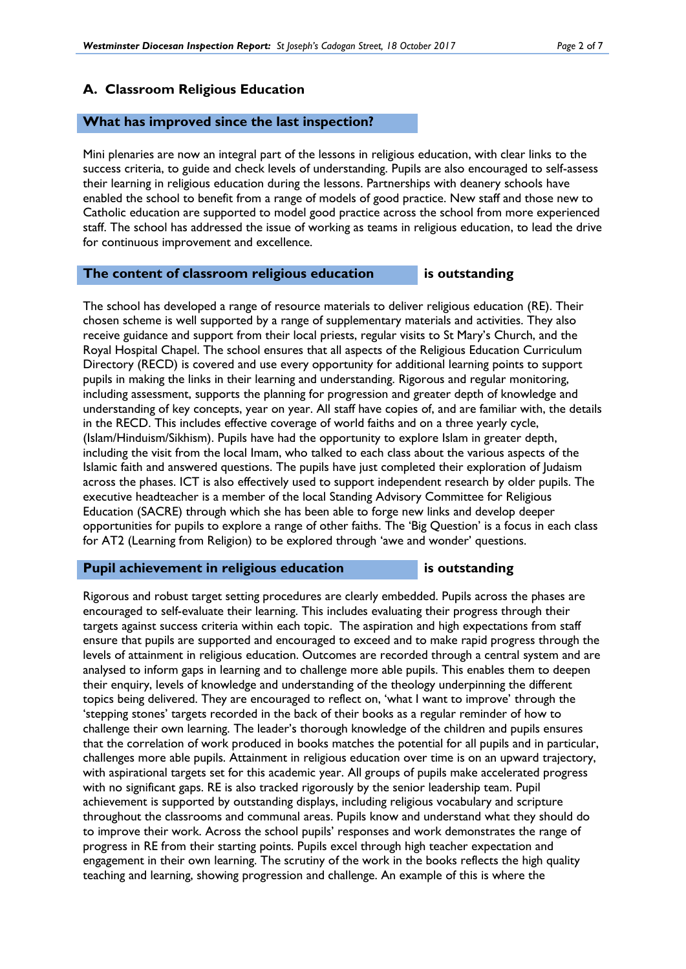#### **A. Classroom Religious Education**

#### **What has improved since the last inspection?**

Mini plenaries are now an integral part of the lessons in religious education, with clear links to the success criteria, to guide and check levels of understanding. Pupils are also encouraged to self-assess their learning in religious education during the lessons. Partnerships with deanery schools have enabled the school to benefit from a range of models of good practice. New staff and those new to Catholic education are supported to model good practice across the school from more experienced staff. The school has addressed the issue of working as teams in religious education, to lead the drive for continuous improvement and excellence.

#### **The content of classroom religious education is outstanding**

The school has developed a range of resource materials to deliver religious education (RE). Their chosen scheme is well supported by a range of supplementary materials and activities. They also receive guidance and support from their local priests, regular visits to St Mary's Church, and the Royal Hospital Chapel. The school ensures that all aspects of the Religious Education Curriculum Directory (RECD) is covered and use every opportunity for additional learning points to support pupils in making the links in their learning and understanding. Rigorous and regular monitoring, including assessment, supports the planning for progression and greater depth of knowledge and understanding of key concepts, year on year. All staff have copies of, and are familiar with, the details in the RECD. This includes effective coverage of world faiths and on a three yearly cycle, (Islam/Hinduism/Sikhism). Pupils have had the opportunity to explore Islam in greater depth, including the visit from the local Imam, who talked to each class about the various aspects of the Islamic faith and answered questions. The pupils have just completed their exploration of Judaism across the phases. ICT is also effectively used to support independent research by older pupils. The executive headteacher is a member of the local Standing Advisory Committee for Religious Education (SACRE) through which she has been able to forge new links and develop deeper opportunities for pupils to explore a range of other faiths. The 'Big Question' is a focus in each class for AT2 (Learning from Religion) to be explored through 'awe and wonder' questions.

#### **Pupil achievement in religious education** is outstanding

Rigorous and robust target setting procedures are clearly embedded. Pupils across the phases are encouraged to self-evaluate their learning. This includes evaluating their progress through their targets against success criteria within each topic. The aspiration and high expectations from staff ensure that pupils are supported and encouraged to exceed and to make rapid progress through the levels of attainment in religious education. Outcomes are recorded through a central system and are analysed to inform gaps in learning and to challenge more able pupils. This enables them to deepen their enquiry, levels of knowledge and understanding of the theology underpinning the different topics being delivered. They are encouraged to reflect on, 'what I want to improve' through the 'stepping stones' targets recorded in the back of their books as a regular reminder of how to challenge their own learning. The leader's thorough knowledge of the children and pupils ensures that the correlation of work produced in books matches the potential for all pupils and in particular, challenges more able pupils. Attainment in religious education over time is on an upward trajectory, with aspirational targets set for this academic year. All groups of pupils make accelerated progress with no significant gaps. RE is also tracked rigorously by the senior leadership team. Pupil achievement is supported by outstanding displays, including religious vocabulary and scripture throughout the classrooms and communal areas. Pupils know and understand what they should do to improve their work. Across the school pupils' responses and work demonstrates the range of progress in RE from their starting points. Pupils excel through high teacher expectation and engagement in their own learning. The scrutiny of the work in the books reflects the high quality teaching and learning, showing progression and challenge. An example of this is where the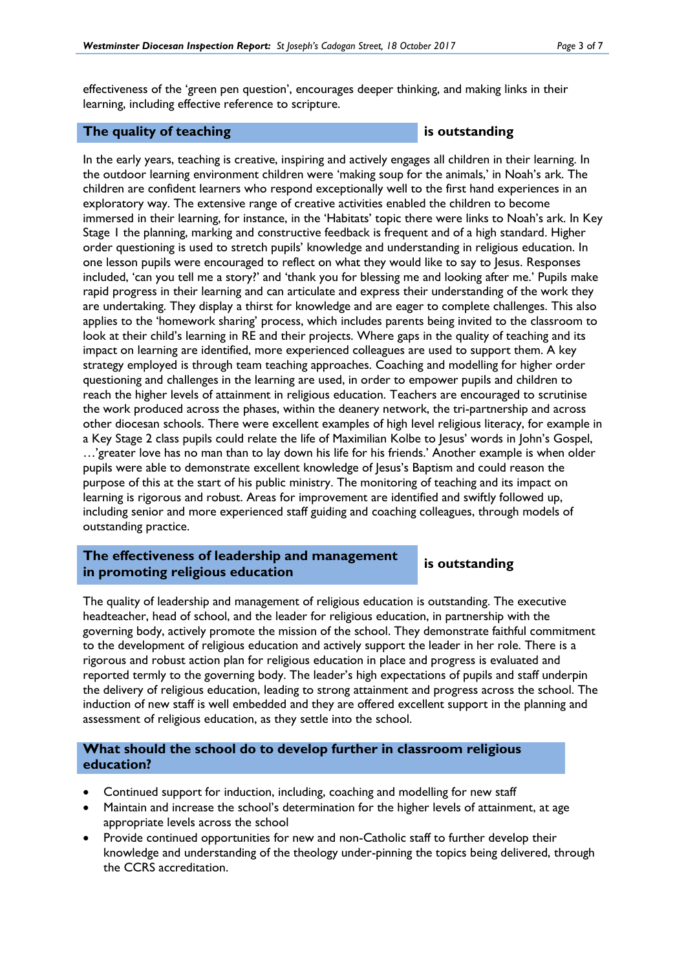effectiveness of the 'green pen question', encourages deeper thinking, and making links in their learning, including effective reference to scripture.

#### **The quality of teaching is outstanding**

In the early years, teaching is creative, inspiring and actively engages all children in their learning. In the outdoor learning environment children were 'making soup for the animals,' in Noah's ark. The children are confident learners who respond exceptionally well to the first hand experiences in an exploratory way. The extensive range of creative activities enabled the children to become immersed in their learning, for instance, in the 'Habitats' topic there were links to Noah's ark. In Key Stage 1 the planning, marking and constructive feedback is frequent and of a high standard. Higher order questioning is used to stretch pupils' knowledge and understanding in religious education. In one lesson pupils were encouraged to reflect on what they would like to say to Jesus. Responses included, 'can you tell me a story?' and 'thank you for blessing me and looking after me.' Pupils make rapid progress in their learning and can articulate and express their understanding of the work they are undertaking. They display a thirst for knowledge and are eager to complete challenges. This also applies to the 'homework sharing' process, which includes parents being invited to the classroom to look at their child's learning in RE and their projects. Where gaps in the quality of teaching and its impact on learning are identified, more experienced colleagues are used to support them. A key strategy employed is through team teaching approaches. Coaching and modelling for higher order questioning and challenges in the learning are used, in order to empower pupils and children to reach the higher levels of attainment in religious education. Teachers are encouraged to scrutinise the work produced across the phases, within the deanery network, the tri-partnership and across other diocesan schools. There were excellent examples of high level religious literacy, for example in a Key Stage 2 class pupils could relate the life of Maximilian Kolbe to Jesus' words in John's Gospel, …'greater love has no man than to lay down his life for his friends.' Another example is when older pupils were able to demonstrate excellent knowledge of Jesus's Baptism and could reason the purpose of this at the start of his public ministry. The monitoring of teaching and its impact on learning is rigorous and robust. Areas for improvement are identified and swiftly followed up, including senior and more experienced staff guiding and coaching colleagues, through models of outstanding practice.

#### **The effectiveness of leadership and management in promoting religious education is outstanding**

The quality of leadership and management of religious education is outstanding. The executive headteacher, head of school, and the leader for religious education, in partnership with the governing body, actively promote the mission of the school. They demonstrate faithful commitment to the development of religious education and actively support the leader in her role. There is a rigorous and robust action plan for religious education in place and progress is evaluated and reported termly to the governing body. The leader's high expectations of pupils and staff underpin the delivery of religious education, leading to strong attainment and progress across the school. The induction of new staff is well embedded and they are offered excellent support in the planning and assessment of religious education, as they settle into the school.

#### **What should the school do to develop further in classroom religious education?**

- Continued support for induction, including, coaching and modelling for new staff
- Maintain and increase the school's determination for the higher levels of attainment, at age appropriate levels across the school
- Provide continued opportunities for new and non-Catholic staff to further develop their knowledge and understanding of the theology under-pinning the topics being delivered, through the CCRS accreditation.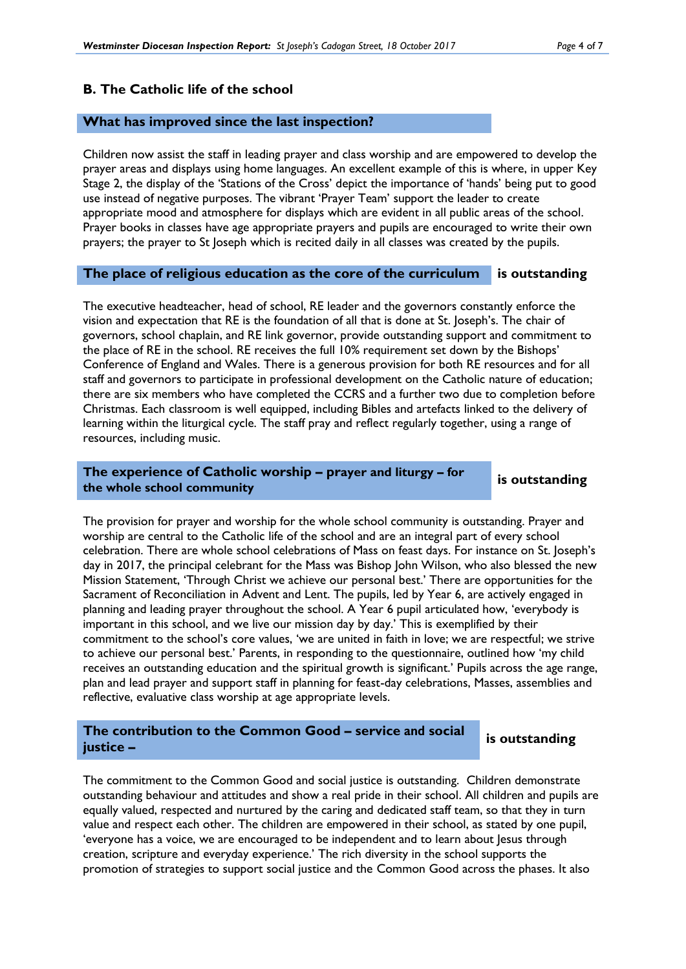#### **B. The Catholic life of the school**

#### **What has improved since the last inspection?**

Children now assist the staff in leading prayer and class worship and are empowered to develop the prayer areas and displays using home languages. An excellent example of this is where, in upper Key Stage 2, the display of the 'Stations of the Cross' depict the importance of 'hands' being put to good use instead of negative purposes. The vibrant 'Prayer Team' support the leader to create appropriate mood and atmosphere for displays which are evident in all public areas of the school. Prayer books in classes have age appropriate prayers and pupils are encouraged to write their own prayers; the prayer to St Joseph which is recited daily in all classes was created by the pupils.

#### **The place of religious education as the core of the curriculum is outstanding**

The executive headteacher, head of school, RE leader and the governors constantly enforce the vision and expectation that RE is the foundation of all that is done at St. Joseph's. The chair of governors, school chaplain, and RE link governor, provide outstanding support and commitment to the place of RE in the school. RE receives the full 10% requirement set down by the Bishops' Conference of England and Wales. There is a generous provision for both RE resources and for all staff and governors to participate in professional development on the Catholic nature of education; there are six members who have completed the CCRS and a further two due to completion before Christmas. Each classroom is well equipped, including Bibles and artefacts linked to the delivery of learning within the liturgical cycle. The staff pray and reflect regularly together, using a range of resources, including music.

#### **The experience of Catholic worship – prayer and liturgy – for the whole school community is outstanding**

The provision for prayer and worship for the whole school community is outstanding. Prayer and worship are central to the Catholic life of the school and are an integral part of every school celebration. There are whole school celebrations of Mass on feast days. For instance on St. Joseph's day in 2017, the principal celebrant for the Mass was Bishop John Wilson, who also blessed the new Mission Statement, 'Through Christ we achieve our personal best.' There are opportunities for the Sacrament of Reconciliation in Advent and Lent. The pupils, led by Year 6, are actively engaged in planning and leading prayer throughout the school. A Year 6 pupil articulated how, 'everybody is important in this school, and we live our mission day by day.' This is exemplified by their commitment to the school's core values, 'we are united in faith in love; we are respectful; we strive to achieve our personal best.' Parents, in responding to the questionnaire, outlined how 'my child receives an outstanding education and the spiritual growth is significant.' Pupils across the age range, plan and lead prayer and support staff in planning for feast-day celebrations, Masses, assemblies and reflective, evaluative class worship at age appropriate levels.

#### **The contribution to the Common Good – service and social justice –**

#### **is outstanding**

The commitment to the Common Good and social justice is outstanding. Children demonstrate outstanding behaviour and attitudes and show a real pride in their school. All children and pupils are equally valued, respected and nurtured by the caring and dedicated staff team, so that they in turn value and respect each other. The children are empowered in their school, as stated by one pupil, 'everyone has a voice, we are encouraged to be independent and to learn about Jesus through creation, scripture and everyday experience.' The rich diversity in the school supports the promotion of strategies to support social justice and the Common Good across the phases. It also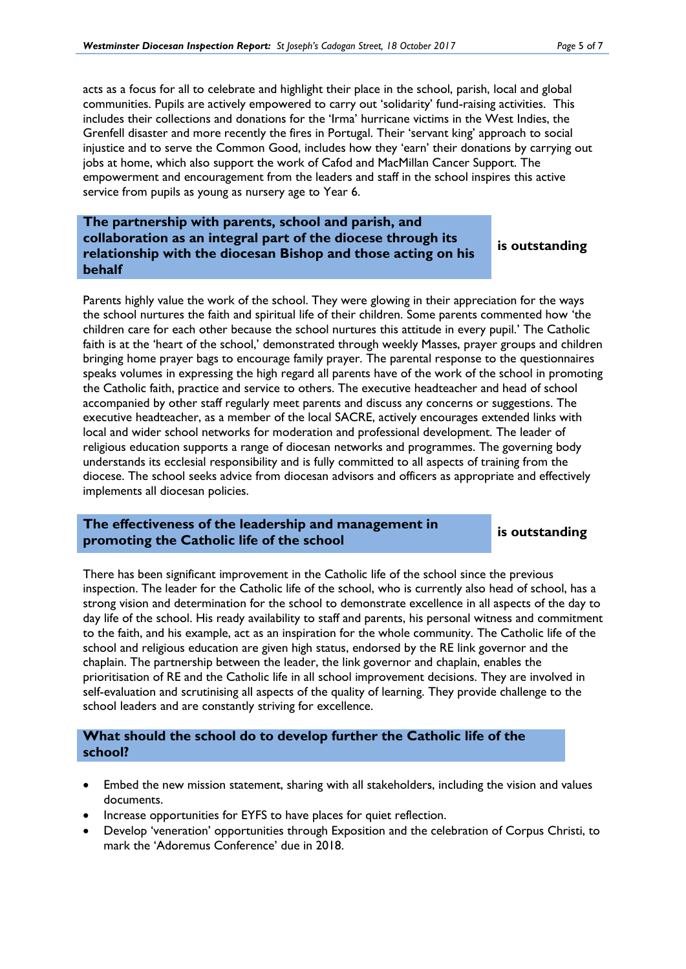acts as a focus for all to celebrate and highlight their place in the school, parish, local and global communities. Pupils are actively empowered to carry out 'solidarity' fund-raising activities. This includes their collections and donations for the 'Irma' hurricane victims in the West Indies, the Grenfell disaster and more recently the fires in Portugal. Their 'servant king' approach to social injustice and to serve the Common Good, includes how they 'earn' their donations by carrying out jobs at home, which also support the work of Cafod and MacMillan Cancer Support. The empowerment and encouragement from the leaders and staff in the school inspires this active service from pupils as young as nursery age to Year 6.

#### **The partnership with parents, school and parish, and collaboration as an integral part of the diocese through its relationship with the diocesan Bishop and those acting on his behalf**

**is outstanding**

Parents highly value the work of the school. They were glowing in their appreciation for the ways the school nurtures the faith and spiritual life of their children. Some parents commented how 'the children care for each other because the school nurtures this attitude in every pupil.' The Catholic faith is at the 'heart of the school,' demonstrated through weekly Masses, prayer groups and children bringing home prayer bags to encourage family prayer. The parental response to the questionnaires speaks volumes in expressing the high regard all parents have of the work of the school in promoting the Catholic faith, practice and service to others. The executive headteacher and head of school accompanied by other staff regularly meet parents and discuss any concerns or suggestions. The executive headteacher, as a member of the local SACRE, actively encourages extended links with local and wider school networks for moderation and professional development. The leader of religious education supports a range of diocesan networks and programmes. The governing body understands its ecclesial responsibility and is fully committed to all aspects of training from the diocese. The school seeks advice from diocesan advisors and officers as appropriate and effectively implements all diocesan policies.

### **The effectiveness of the leadership and management in promoting the Catholic life of the school is** outstanding **is is outstanding**

There has been significant improvement in the Catholic life of the school since the previous inspection. The leader for the Catholic life of the school, who is currently also head of school, has a strong vision and determination for the school to demonstrate excellence in all aspects of the day to day life of the school. His ready availability to staff and parents, his personal witness and commitment to the faith, and his example, act as an inspiration for the whole community. The Catholic life of the school and religious education are given high status, endorsed by the RE link governor and the chaplain. The partnership between the leader, the link governor and chaplain, enables the prioritisation of RE and the Catholic life in all school improvement decisions. They are involved in self-evaluation and scrutinising all aspects of the quality of learning. They provide challenge to the school leaders and are constantly striving for excellence.

### **What should the school do to develop further the Catholic life of the school?**

- Embed the new mission statement, sharing with all stakeholders, including the vision and values documents.
- Increase opportunities for EYFS to have places for quiet reflection.
- Develop 'veneration' opportunities through Exposition and the celebration of Corpus Christi, to mark the 'Adoremus Conference' due in 2018.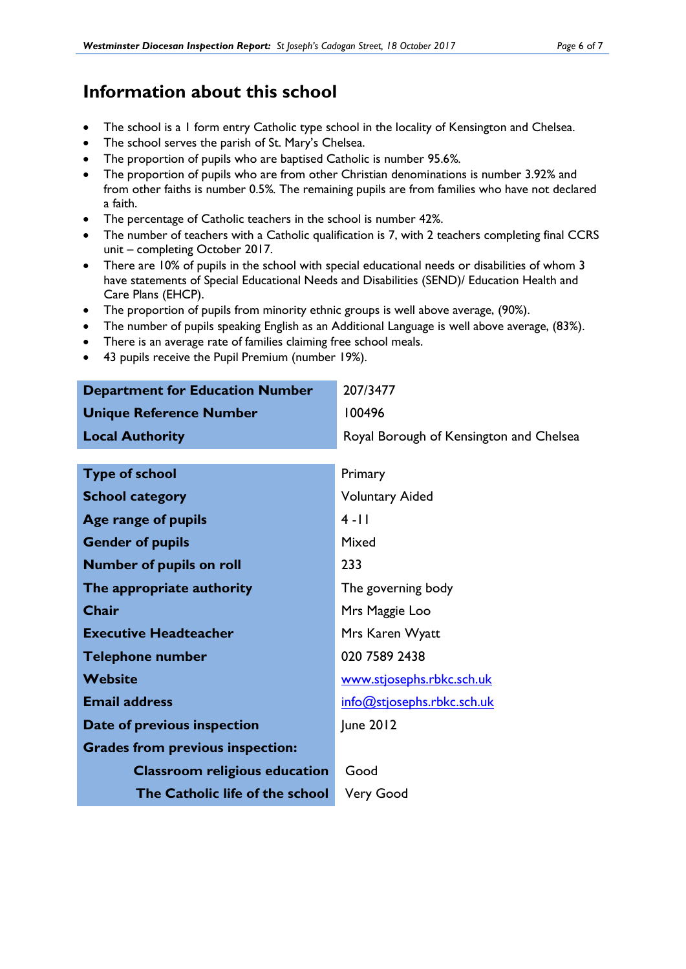## **Information about this school**

- The school is a 1 form entry Catholic type school in the locality of Kensington and Chelsea.
- The school serves the parish of St. Mary's Chelsea.
- The proportion of pupils who are baptised Catholic is number 95.6*%.*
- The proportion of pupils who are from other Christian denominations is number 3.92% and from other faiths is number 0.5%*.* The remaining pupils are from families who have not declared a faith.
- The percentage of Catholic teachers in the school is number 42%.
- The number of teachers with a Catholic qualification is 7, with 2 teachers completing final CCRS unit – completing October 2017.
- There are 10% of pupils in the school with special educational needs or disabilities of whom 3 have statements of Special Educational Needs and Disabilities (SEND)/ Education Health and Care Plans (EHCP).
- The proportion of pupils from minority ethnic groups is well above average, (90%).
- The number of pupils speaking English as an Additional Language is well above average, (83%).
- There is an average rate of families claiming free school meals.
- 43 pupils receive the Pupil Premium (number 19%).

| <b>Department for Education Number</b>  | 207/3477                                |
|-----------------------------------------|-----------------------------------------|
| <b>Unique Reference Number</b>          | 100496                                  |
| <b>Local Authority</b>                  | Royal Borough of Kensington and Chelsea |
|                                         |                                         |
| <b>Type of school</b>                   | Primary                                 |
| <b>School category</b>                  | <b>Voluntary Aided</b>                  |
| Age range of pupils                     | $4 - 11$                                |
| <b>Gender of pupils</b>                 | Mixed                                   |
| <b>Number of pupils on roll</b>         | 233                                     |
| The appropriate authority               | The governing body                      |
| Chair                                   | Mrs Maggie Loo                          |
| <b>Executive Headteacher</b>            | Mrs Karen Wyatt                         |
| <b>Telephone number</b>                 | 020 7589 2438                           |
| <b>Website</b>                          | www.stjosephs.rbkc.sch.uk               |
| <b>Email address</b>                    | info@stjosephs.rbkc.sch.uk              |
| Date of previous inspection             | June 2012                               |
| <b>Grades from previous inspection:</b> |                                         |
| <b>Classroom religious education</b>    | Good                                    |
| The Catholic life of the school         | <b>Very Good</b>                        |